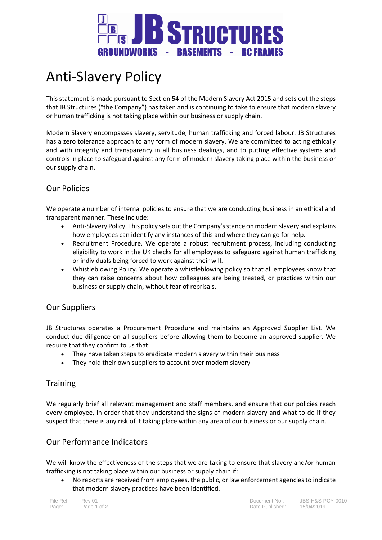

# Anti-Slavery Policy

This statement is made pursuant to Section 54 of the Modern Slavery Act 2015 and sets out the steps that JB Structures ("the Company") has taken and is continuing to take to ensure that modern slavery or human trafficking is not taking place within our business or supply chain.

Modern Slavery encompasses slavery, servitude, human trafficking and forced labour. JB Structures has a zero tolerance approach to any form of modern slavery. We are committed to acting ethically and with integrity and transparency in all business dealings, and to putting effective systems and controls in place to safeguard against any form of modern slavery taking place within the business or our supply chain.

# Our Policies

We operate a number of internal policies to ensure that we are conducting business in an ethical and transparent manner. These include:

- Anti-Slavery Policy. This policy sets out the Company's stance on modern slavery and explains how employees can identify any instances of this and where they can go for help.
- Recruitment Procedure. We operate a robust recruitment process, including conducting eligibility to work in the UK checks for all employees to safeguard against human trafficking or individuals being forced to work against their will.
- Whistleblowing Policy. We operate a whistleblowing policy so that all employees know that they can raise concerns about how colleagues are being treated, or practices within our business or supply chain, without fear of reprisals.

### Our Suppliers

JB Structures operates a Procurement Procedure and maintains an Approved Supplier List. We conduct due diligence on all suppliers before allowing them to become an approved supplier. We require that they confirm to us that:

- They have taken steps to eradicate modern slavery within their business
- They hold their own suppliers to account over modern slavery

### **Training**

We regularly brief all relevant management and staff members, and ensure that our policies reach every employee, in order that they understand the signs of modern slavery and what to do if they suspect that there is any risk of it taking place within any area of our business or our supply chain.

# Our Performance Indicators

We will know the effectiveness of the steps that we are taking to ensure that slavery and/or human trafficking is not taking place within our business or supply chain if:

 No reports are received from employees, the public, or law enforcement agencies to indicate that modern slavery practices have been identified.

File Ref: Rev 01 Document No.: JBS-H&S-PCY-0010 Page: Page **1** of **2** Date Published: 15/04/2019